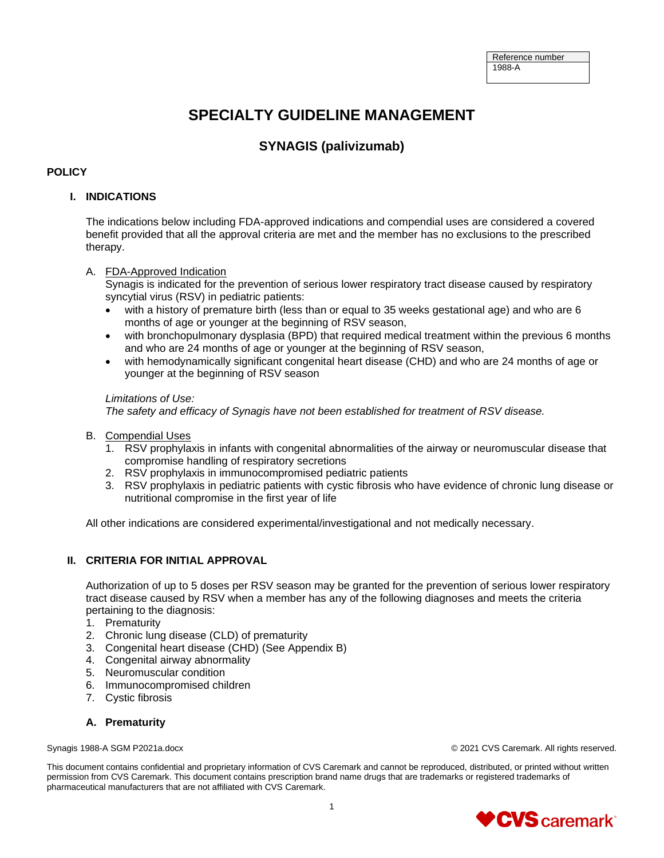# **SPECIALTY GUIDELINE MANAGEMENT**

## **SYNAGIS (palivizumab)**

#### **POLICY**

#### **I. INDICATIONS**

The indications below including FDA-approved indications and compendial uses are considered a covered benefit provided that all the approval criteria are met and the member has no exclusions to the prescribed therapy.

#### A. FDA-Approved Indication

Synagis is indicated for the prevention of serious lower respiratory tract disease caused by respiratory syncytial virus (RSV) in pediatric patients:

- with a history of premature birth (less than or equal to 35 weeks gestational age) and who are 6 months of age or younger at the beginning of RSV season,
- with bronchopulmonary dysplasia (BPD) that required medical treatment within the previous 6 months and who are 24 months of age or younger at the beginning of RSV season,
- with hemodynamically significant congenital heart disease (CHD) and who are 24 months of age or younger at the beginning of RSV season

#### *Limitations of Use:*

*The safety and efficacy of Synagis have not been established for treatment of RSV disease.*

- B. Compendial Uses
	- 1. RSV prophylaxis in infants with congenital abnormalities of the airway or neuromuscular disease that compromise handling of respiratory secretions
	- 2. RSV prophylaxis in immunocompromised pediatric patients
	- 3. RSV prophylaxis in pediatric patients with cystic fibrosis who have evidence of chronic lung disease or nutritional compromise in the first year of life

All other indications are considered experimental/investigational and not medically necessary.

#### **II. CRITERIA FOR INITIAL APPROVAL**

Authorization of up to 5 doses per RSV season may be granted for the prevention of serious lower respiratory tract disease caused by RSV when a member has any of the following diagnoses and meets the criteria pertaining to the diagnosis:

- 1. Prematurity
- 2. Chronic lung disease (CLD) of prematurity
- 3. Congenital heart disease (CHD) (See Appendix B)
- 4. Congenital airway abnormality
- 5. Neuromuscular condition
- 6. Immunocompromised children
- 7. Cystic fibrosis

#### **A. Prematurity**

Synagis 1988-A SGM P2021a.docx © 2021 CVS Caremark. All rights reserved.

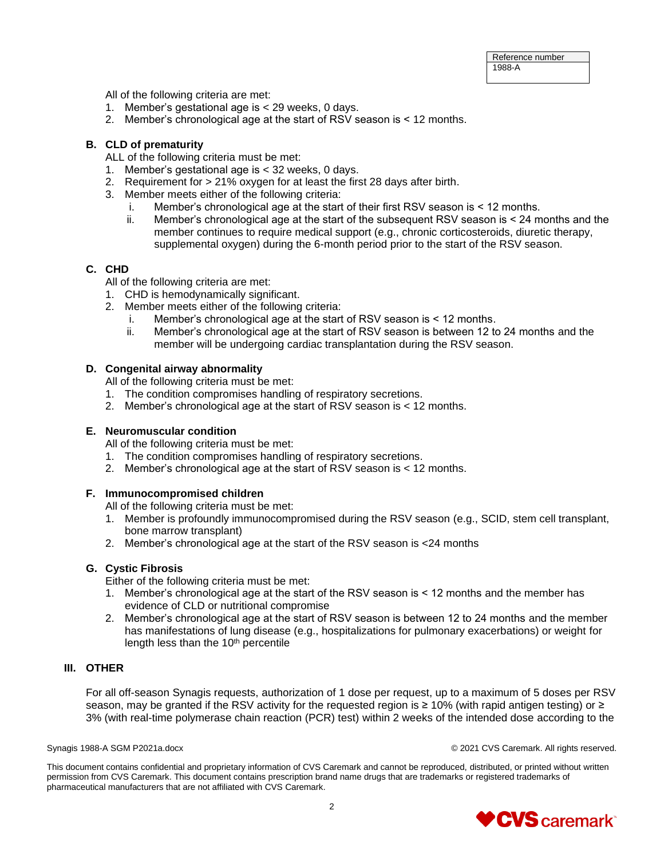All of the following criteria are met:

- 1. Member's gestational age is < 29 weeks, 0 days.
- 2. Member's chronological age at the start of RSV season is < 12 months.

#### **B. CLD of prematurity**

- ALL of the following criteria must be met:
- 1. Member's gestational age is < 32 weeks, 0 days.
- 2. Requirement for > 21% oxygen for at least the first 28 days after birth.
- 3. Member meets either of the following criteria:
	- i. Member's chronological age at the start of their first RSV season is < 12 months.
	- ii. Member's chronological age at the start of the subsequent RSV season is < 24 months and the member continues to require medical support (e.g., chronic corticosteroids, diuretic therapy, supplemental oxygen) during the 6-month period prior to the start of the RSV season.

#### **C. CHD**

All of the following criteria are met:

- 1. CHD is hemodynamically significant.
- 2. Member meets either of the following criteria:
	- i. Member's chronological age at the start of RSV season is < 12 months.
	- ii. Member's chronological age at the start of RSV season is between 12 to 24 months and the member will be undergoing cardiac transplantation during the RSV season.

#### **D. Congenital airway abnormality**

All of the following criteria must be met:

- 1. The condition compromises handling of respiratory secretions.
- 2. Member's chronological age at the start of RSV season is < 12 months.

#### **E. Neuromuscular condition**

All of the following criteria must be met:

- 1. The condition compromises handling of respiratory secretions.
- 2. Member's chronological age at the start of RSV season is < 12 months.

#### **F. Immunocompromised children**

All of the following criteria must be met:

- 1. Member is profoundly immunocompromised during the RSV season (e.g., SCID, stem cell transplant, bone marrow transplant)
- 2. Member's chronological age at the start of the RSV season is <24 months

#### **G. Cystic Fibrosis**

Either of the following criteria must be met:

- 1. Member's chronological age at the start of the RSV season is < 12 months and the member has evidence of CLD or nutritional compromise
- 2. Member's chronological age at the start of RSV season is between 12 to 24 months and the member has manifestations of lung disease (e.g., hospitalizations for pulmonary exacerbations) or weight for length less than the  $10<sup>th</sup>$  percentile

#### **III. OTHER**

For all off-season Synagis requests, authorization of 1 dose per request, up to a maximum of 5 doses per RSV season, may be granted if the RSV activity for the requested region is ≥ 10% (with rapid antigen testing) or ≥ 3% (with real-time polymerase chain reaction (PCR) test) within 2 weeks of the intended dose according to the

Synagis 1988-A SGM P2021a.docx © 2021 CVS Caremark. All rights reserved.

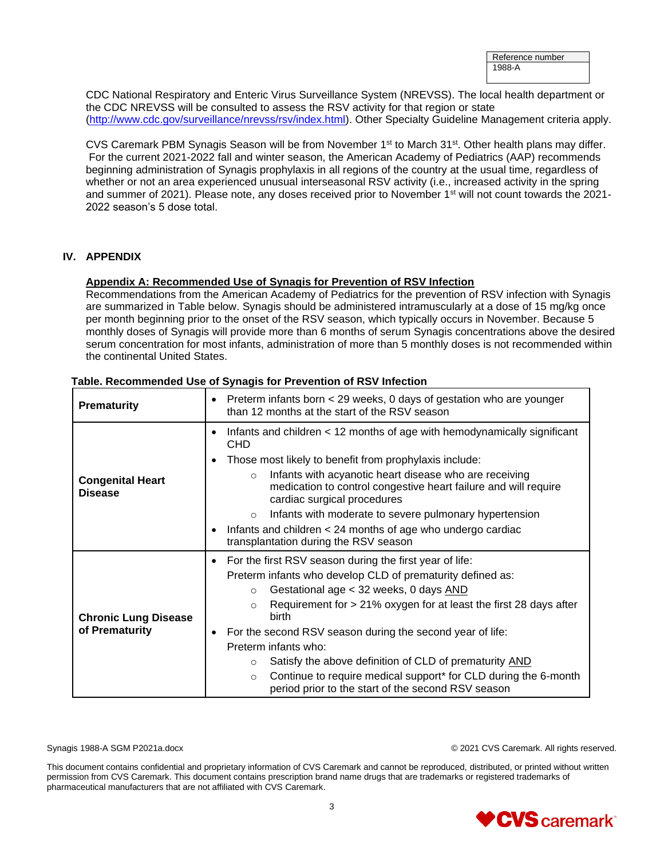| Reference number |  |
|------------------|--|
| 1988-A           |  |
|                  |  |

CDC National Respiratory and Enteric Virus Surveillance System (NREVSS). The local health department or the CDC NREVSS will be consulted to assess the RSV activity for that region or state [\(http://www.cdc.gov/surveillance/nrevss/rsv/index.html\)](http://www.cdc.gov/surveillance/nrevss/rsv/index.html). Other Specialty Guideline Management criteria apply.

CVS Caremark PBM Synagis Season will be from November 1<sup>st</sup> to March 31<sup>st</sup>. Other health plans may differ. For the current 2021-2022 fall and winter season, the American Academy of Pediatrics (AAP) recommends beginning administration of Synagis prophylaxis in all regions of the country at the usual time, regardless of whether or not an area experienced unusual interseasonal RSV activity (i.e., increased activity in the spring and summer of 2021). Please note, any doses received prior to November 1<sup>st</sup> will not count towards the 2021-2022 season's 5 dose total.

#### **IV. APPENDIX**

#### **Appendix A: Recommended Use of Synagis for Prevention of RSV Infection**

Recommendations from the American Academy of Pediatrics for the prevention of RSV infection with Synagis are summarized in Table below. Synagis should be administered intramuscularly at a dose of 15 mg/kg once per month beginning prior to the onset of the RSV season, which typically occurs in November. Because 5 monthly doses of Synagis will provide more than 6 months of serum Synagis concentrations above the desired serum concentration for most infants, administration of more than 5 monthly doses is not recommended within the continental United States.

| <b>Prematurity</b>                            | Preterm infants born < 29 weeks, 0 days of gestation who are younger<br>$\bullet$<br>than 12 months at the start of the RSV season                                                                                                                                                                                                                                                                                                                                                                                                                                             |
|-----------------------------------------------|--------------------------------------------------------------------------------------------------------------------------------------------------------------------------------------------------------------------------------------------------------------------------------------------------------------------------------------------------------------------------------------------------------------------------------------------------------------------------------------------------------------------------------------------------------------------------------|
| <b>Congenital Heart</b><br><b>Disease</b>     | Infants and children < 12 months of age with hemodynamically significant<br>$\bullet$<br><b>CHD</b><br>Those most likely to benefit from prophylaxis include:<br>$\bullet$<br>Infants with acyanotic heart disease who are receiving<br>$\circ$<br>medication to control congestive heart failure and will require<br>cardiac surgical procedures<br>Infants with moderate to severe pulmonary hypertension<br>$\circ$<br>Infants and children < 24 months of age who undergo cardiac<br>$\bullet$<br>transplantation during the RSV season                                    |
| <b>Chronic Lung Disease</b><br>of Prematurity | For the first RSV season during the first year of life:<br>$\bullet$<br>Preterm infants who develop CLD of prematurity defined as:<br>Gestational age < 32 weeks, 0 days AND<br>$\circ$<br>Requirement for > 21% oxygen for at least the first 28 days after<br>$\circ$<br>birth<br>For the second RSV season during the second year of life:<br>Preterm infants who:<br>Satisfy the above definition of CLD of prematurity AND<br>$\circ$<br>Continue to require medical support* for CLD during the 6-month<br>$\circ$<br>period prior to the start of the second RSV season |

#### **Table. Recommended Use of Synagis for Prevention of RSV Infection**

Synagis 1988-A SGM P2021a.docx © 2021 CVS Caremark. All rights reserved.

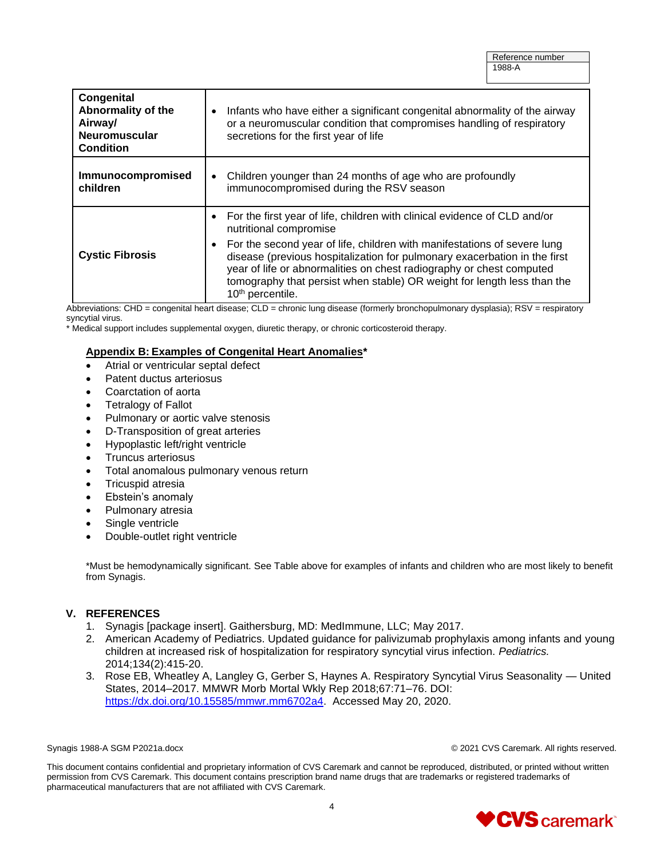| Congenital<br>Abnormality of the<br>Airway/<br>Neuromuscular<br><b>Condition</b> | Infants who have either a significant congenital abnormality of the airway<br>or a neuromuscular condition that compromises handling of respiratory<br>secretions for the first year of life                                                                                                                                                                                                                                                    |
|----------------------------------------------------------------------------------|-------------------------------------------------------------------------------------------------------------------------------------------------------------------------------------------------------------------------------------------------------------------------------------------------------------------------------------------------------------------------------------------------------------------------------------------------|
| Immunocompromised<br>children                                                    | Children younger than 24 months of age who are profoundly<br>$\bullet$<br>immunocompromised during the RSV season                                                                                                                                                                                                                                                                                                                               |
| <b>Cystic Fibrosis</b>                                                           | For the first year of life, children with clinical evidence of CLD and/or<br>nutritional compromise<br>For the second year of life, children with manifestations of severe lung<br>disease (previous hospitalization for pulmonary exacerbation in the first<br>year of life or abnormalities on chest radiography or chest computed<br>tomography that persist when stable) OR weight for length less than the<br>10 <sup>th</sup> percentile. |

Abbreviations: CHD = congenital heart disease; CLD = chronic lung disease (formerly bronchopulmonary dysplasia); RSV = respiratory syncytial virus.

\* Medical support includes supplemental oxygen, diuretic therapy, or chronic corticosteroid therapy.

#### **Appendix B: Examples of Congenital Heart Anomalies\***

- Atrial or ventricular septal defect
- Patent ductus arteriosus
- Coarctation of aorta
- Tetralogy of Fallot
- Pulmonary or aortic valve stenosis
- D-Transposition of great arteries
- Hypoplastic left/right ventricle
- Truncus arteriosus
- Total anomalous pulmonary venous return
- Tricuspid atresia
- Ebstein's anomaly
- Pulmonary atresia
- Single ventricle
- Double-outlet right ventricle

\*Must be hemodynamically significant. See Table above for examples of infants and children who are most likely to benefit from Synagis.

### **V. REFERENCES**

- 1. Synagis [package insert]. Gaithersburg, MD: MedImmune, LLC; May 2017.
- 2. American Academy of Pediatrics. Updated guidance for palivizumab prophylaxis among infants and young children at increased risk of hospitalization for respiratory syncytial virus infection. *Pediatrics.* 2014;134(2):415-20.
- 3. Rose EB, Wheatley A, Langley G, Gerber S, Haynes A. Respiratory Syncytial Virus Seasonality United States, 2014–2017. MMWR Morb Mortal Wkly Rep 2018;67:71–76. DOI: [https://dx.doi.org/10.15585/mmwr.mm6702a4.](https://dx.doi.org/10.15585/mmwr.mm6702a4) Accessed May 20, 2020.

Synagis 1988-A SGM P2021a.docx © 2021 CVS Caremark. All rights reserved.